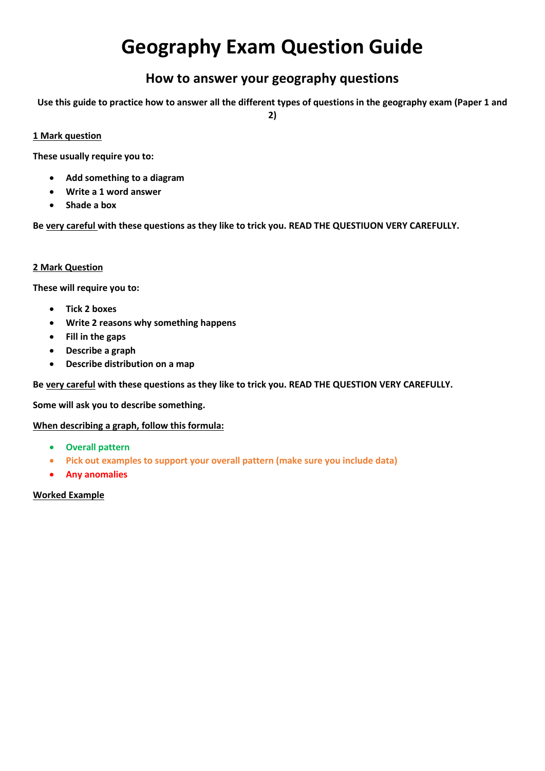# **Geography Exam Question Guide**

# **How to answer your geography questions**

**Use this guide to practice how to answer all the different types of questions in the geography exam (Paper 1 and** 

**2)**

## **1 Mark question**

**These usually require you to:**

- **Add something to a diagram**
- **Write a 1 word answer**
- **Shade a box**

**Be very careful with these questions as they like to trick you. READ THE QUESTIUON VERY CAREFULLY.**

#### **2 Mark Question**

**These will require you to:**

- **Tick 2 boxes**
- **Write 2 reasons why something happens**
- **Fill in the gaps**
- **Describe a graph**
- **Describe distribution on a map**

**Be very careful with these questions as they like to trick you. READ THE QUESTION VERY CAREFULLY.**

**Some will ask you to describe something.**

#### **When describing a graph, follow this formula:**

- **Overall pattern**
- **Pick out examples to support your overall pattern (make sure you include data)**
- **Any anomalies**

#### **Worked Example**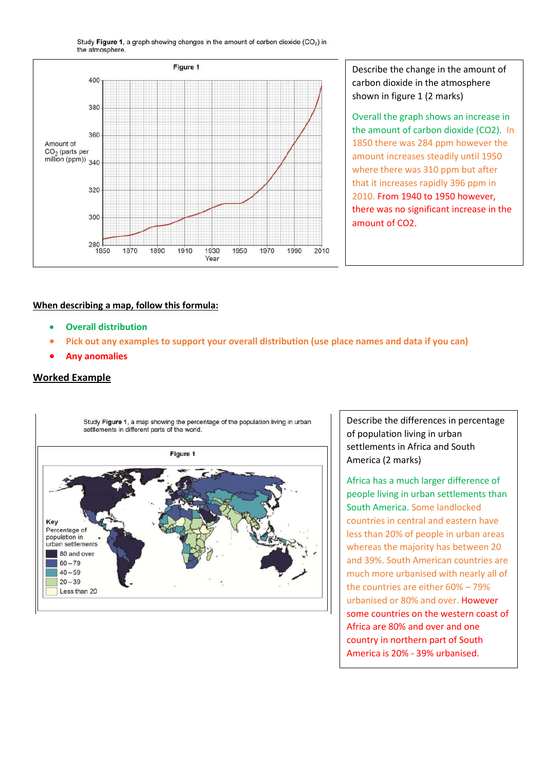Study Figure 1, a graph showing changes in the amount of carbon dioxide (CO<sub>2</sub>) in the atmosphere.



Describe the change in the amount of carbon dioxide in the atmosphere shown in figure 1 (2 marks)

Overall the graph shows an increase in the amount of carbon dioxide (CO2). In 1850 there was 284 ppm however the amount increases steadily until 1950 where there was 310 ppm but after that it increases rapidly 396 ppm in 2010. From 1940 to 1950 however, there was no significant increase in the amount of CO2.

#### **When describing a map, follow this formula:**

- **Overall distribution**
- **Pick out any examples to support your overall distribution (use place names and data if you can)**
- **Any anomalies**

#### **Worked Example**



Describe the differences in percentage of population living in urban settlements in Africa and South America (2 marks)

Africa has a much larger difference of people living in urban settlements than South America. Some landlocked countries in central and eastern have less than 20% of people in urban areas whereas the majority has between 20 and 39%. South American countries are much more urbanised with nearly all of the countries are either 60% – 79% urbanised or 80% and over. However some countries on the western coast of Africa are 80% and over and one country in northern part of South America is 20% - 39% urbanised.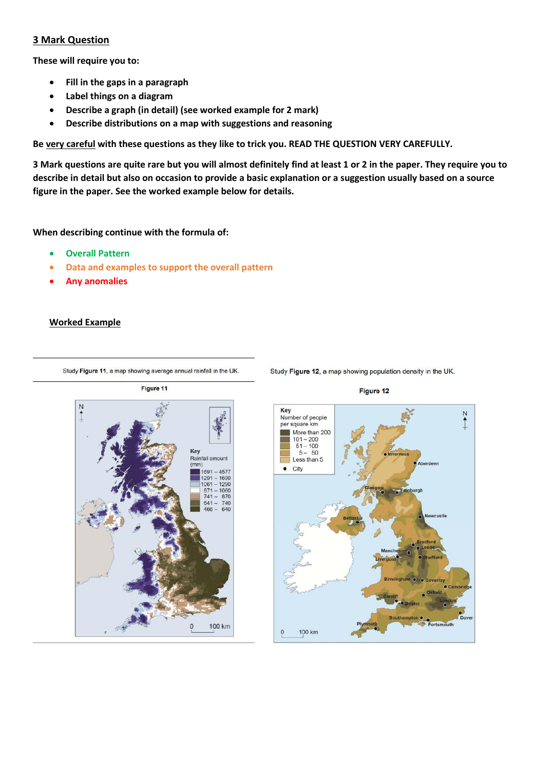#### **3 Mark Question**

**These will require you to:**

- **Fill in the gaps in a paragraph**
- **Label things on a diagram**
- **Describe a graph (in detail) (see worked example for 2 mark)**
- **Describe distributions on a map with suggestions and reasoning**

**Be very careful with these questions as they like to trick you. READ THE QUESTION VERY CAREFULLY.**

**3 Mark questions are quite rare but you will almost definitely find at least 1 or 2 in the paper. They require you to describe in detail but also on occasion to provide a basic explanation or a suggestion usually based on a source figure in the paper. See the worked example below for details.**

#### **When describing continue with the formula of:**

- **Overall Pattern**
- **Data and examples to support the overall pattern**
- **Any anomalies**

#### **Worked Example**

Study Figure 11, a map showing average annual rainfall in the UK.





Study Figure 12, a map showing population density in the UK.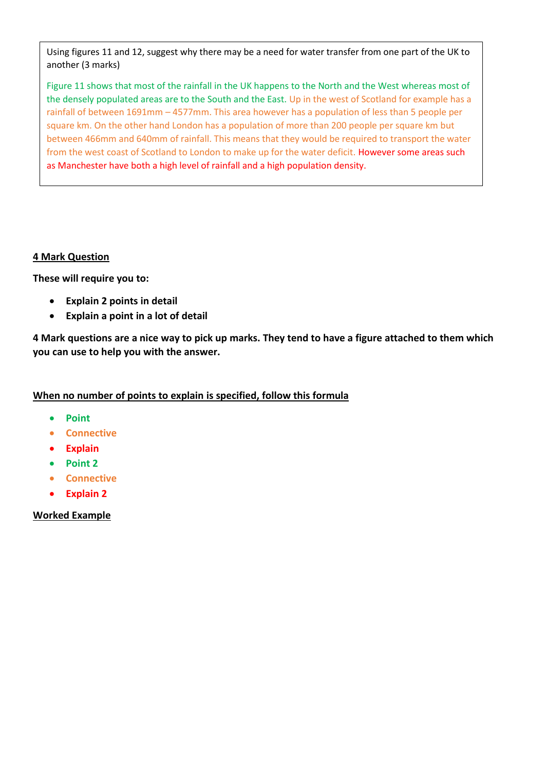Using figures 11 and 12, suggest why there may be a need for water transfer from one part of the UK to another (3 marks)

Figure 11 shows that most of the rainfall in the UK happens to the North and the West whereas most of the densely populated areas are to the South and the East. Up in the west of Scotland for example has a rainfall of between 1691mm – 4577mm. This area however has a population of less than 5 people per square km. On the other hand London has a population of more than 200 people per square km but between 466mm and 640mm of rainfall. This means that they would be required to transport the water from the west coast of Scotland to London to make up for the water deficit. However some areas such as Manchester have both a high level of rainfall and a high population density.

# **4 Mark Question**

**These will require you to:**

- **Explain 2 points in detail**
- **Explain a point in a lot of detail**

**4 Mark questions are a nice way to pick up marks. They tend to have a figure attached to them which you can use to help you with the answer.**

# **When no number of points to explain is specified, follow this formula**

- **Point**
- **•** Connective
- **Explain**
- **Point 2**
- **Connective**
- **Explain 2**

# **Worked Example**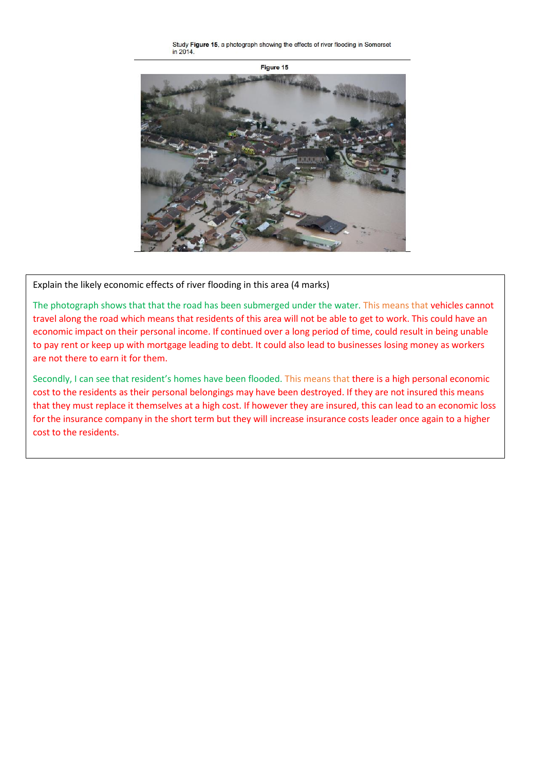Study Figure 15, a photograph showing the effects of river flooding in Somerset in 2014



Explain the likely economic effects of river flooding in this area (4 marks)

The photograph shows that that the road has been submerged under the water. This means that vehicles cannot travel along the road which means that residents of this area will not be able to get to work. This could have an economic impact on their personal income. If continued over a long period of time, could result in being unable to pay rent or keep up with mortgage leading to debt. It could also lead to businesses losing money as workers are not there to earn it for them.

Secondly, I can see that resident's homes have been flooded. This means that there is a high personal economic cost to the residents as their personal belongings may have been destroyed. If they are not insured this means that they must replace it themselves at a high cost. If however they are insured, this can lead to an economic loss for the insurance company in the short term but they will increase insurance costs leader once again to a higher cost to the residents.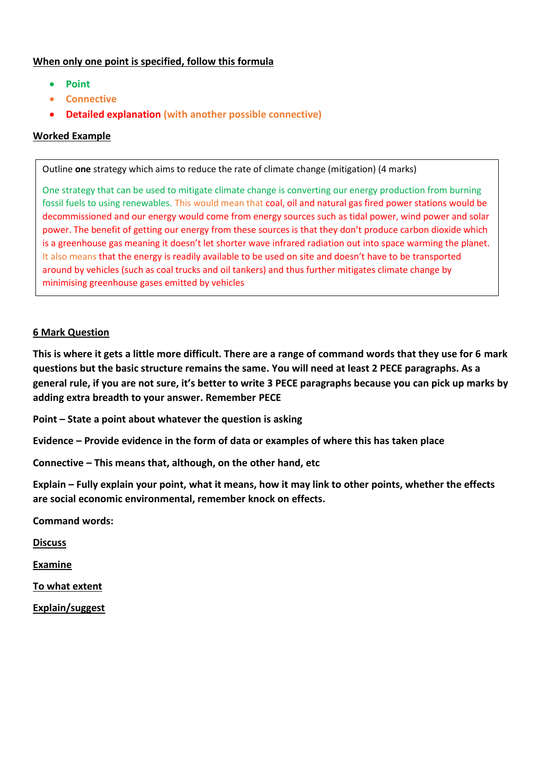# **When only one point is specified, follow this formula**

- **Point**
- **Connective**
- **Detailed explanation (with another possible connective)**

# **Worked Example**

Outline **one** strategy which aims to reduce the rate of climate change (mitigation) (4 marks)

One strategy that can be used to mitigate climate change is converting our energy production from burning fossil fuels to using renewables. This would mean that coal, oil and natural gas fired power stations would be decommissioned and our energy would come from energy sources such as tidal power, wind power and solar power. The benefit of getting our energy from these sources is that they don't produce carbon dioxide which is a greenhouse gas meaning it doesn't let shorter wave infrared radiation out into space warming the planet. It also means that the energy is readily available to be used on site and doesn't have to be transported around by vehicles (such as coal trucks and oil tankers) and thus further mitigates climate change by minimising greenhouse gases emitted by vehicles

## **6 Mark Question**

**This is where it gets a little more difficult. There are a range of command words that they use for 6 mark questions but the basic structure remains the same. You will need at least 2 PECE paragraphs. As a general rule, if you are not sure, it's better to write 3 PECE paragraphs because you can pick up marks by adding extra breadth to your answer. Remember PECE**

**Point – State a point about whatever the question is asking**

**Evidence – Provide evidence in the form of data or examples of where this has taken place** 

**Connective – This means that, although, on the other hand, etc**

**Explain – Fully explain your point, what it means, how it may link to other points, whether the effects are social economic environmental, remember knock on effects.**

**Command words:**

**Discuss**

**Examine**

**To what extent**

**Explain/suggest**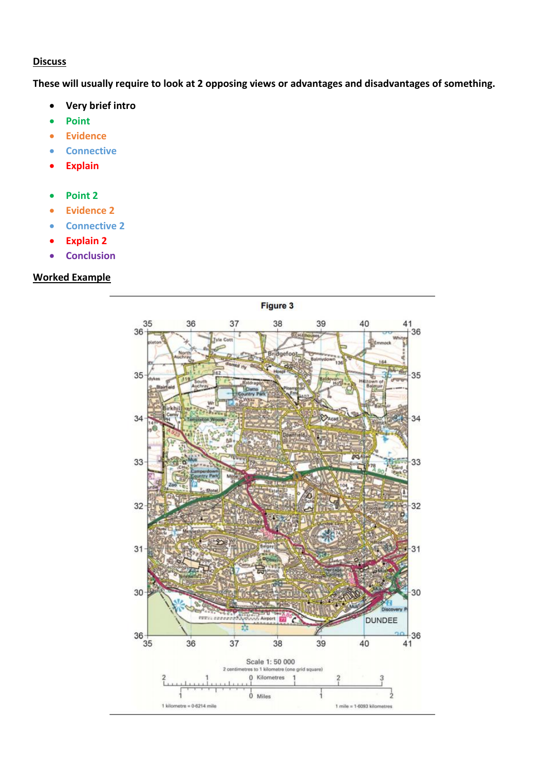#### **Discuss**

**These will usually require to look at 2 opposing views or advantages and disadvantages of something.** 

- **Very brief intro**
- **Point**
- **Evidence**
- **Connective**
- **Explain**
- **Point 2**
- **Evidence 2**
- **connective 2**
- **Explain 2**
- **•** Conclusion

# **Worked Example**

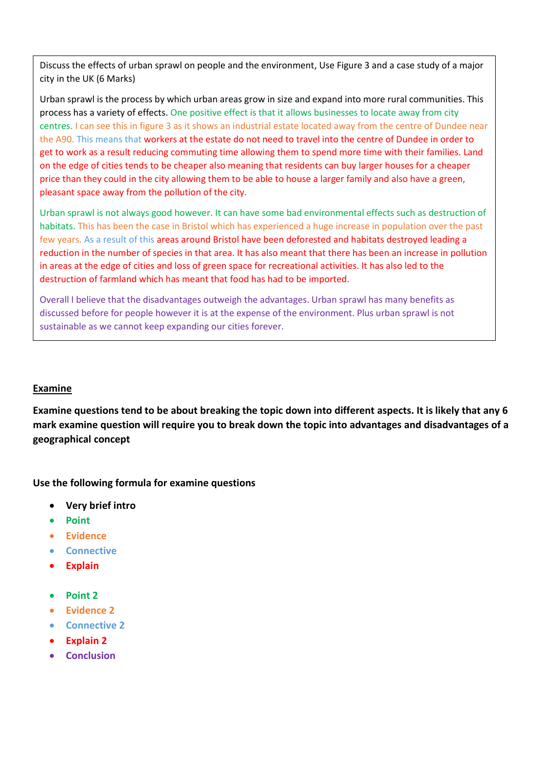Discuss the effects of urban sprawl on people and the environment, Use Figure 3 and a case study of a major city in the UK (6 Marks)

Urban sprawl is the process by which urban areas grow in size and expand into more rural communities. This process has a variety of effects. One positive effect is that it allows businesses to locate away from city centres. I can see this in figure 3 as it shows an industrial estate located away from the centre of Dundee near the A90. This means that workers at the estate do not need to travel into the centre of Dundee in order to get to work as a result reducing commuting time allowing them to spend more time with their families. Land on the edge of cities tends to be cheaper also meaning that residents can buy larger houses for a cheaper price than they could in the city allowing them to be able to house a larger family and also have a green, pleasant space away from the pollution of the city.

Urban sprawl is not always good however. It can have some bad environmental effects such as destruction of habitats. This has been the case in Bristol which has experienced a huge increase in population over the past few years. As a result of this areas around Bristol have been deforested and habitats destroyed leading a reduction in the number of species in that area. It has also meant that there has been an increase in pollution in areas at the edge of cities and loss of green space for recreational activities. It has also led to the destruction of farmland which has meant that food has had to be imported.

Overall I believe that the disadvantages outweigh the advantages. Urban sprawl has many benefits as discussed before for people however it is at the expense of the environment. Plus urban sprawl is not sustainable as we cannot keep expanding our cities forever.

#### **Examine**

**Examine questions tend to be about breaking the topic down into different aspects. It is likely that any 6 mark examine question will require you to break down the topic into advantages and disadvantages of a geographical concept**

**Use the following formula for examine questions**

- **Very brief intro**
- **Point**
- **Evidence**
- **•** Connective
- **Explain**
- **Point 2**
- **Evidence 2**
- **Connective 2**
- **Explain 2**
- **Conclusion**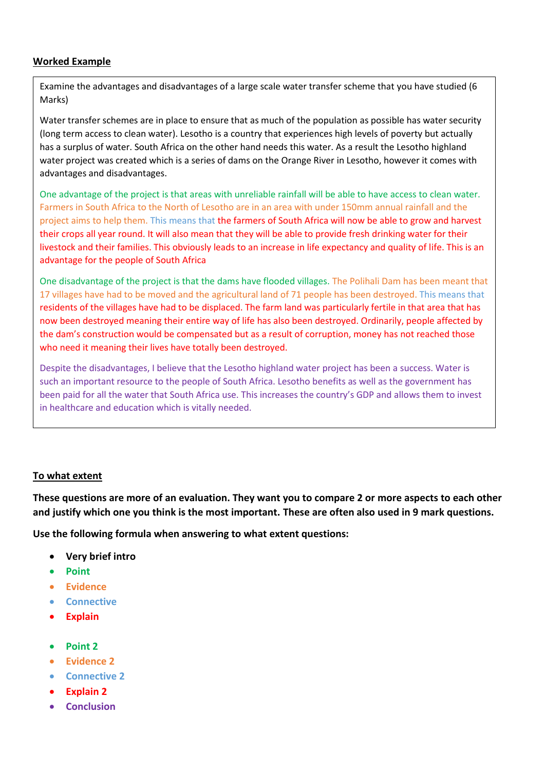# **Worked Example**

Examine the advantages and disadvantages of a large scale water transfer scheme that you have studied (6 Marks)

has a surplus of water. South Africa on the other hand needs this water. As a result the Lesotho highland Water transfer schemes are in place to ensure that as much of the population as possible has water security (long term access to clean water). Lesotho is a country that experiences high levels of poverty but actually water project was created which is a series of dams on the Orange River in Lesotho, however it comes with advantages and disadvantages.

**One advantage of the project is that areas with unreliable rainfall will be able to have access to clean water.** Farmers in South Africa to the North of Lesotho are in an area with under 150mm annual rainfall and the project aims to help them. This means that the farmers of South Africa will now be able to grow and harvest their crops all year round. It will also mean that they will be able to provide fresh drinking water for their livestock and their families. This obviously leads to an increase in life expectancy and quality of life. This is an advantage for the people of South Africa

One disadvantage of the project is that the dams have flooded villages. The Polihali Dam has been meant that 17 villages have had to be moved and the agricultural land of 71 people has been destroyed. This means that residents of the villages have had to be displaced. The farm land was particularly fertile in that area that has now been destroyed meaning their entire way of life has also been destroyed. Ordinarily, people affected by the dam's construction would be compensated but as a result of corruption, money has not reached those who need it meaning their lives have totally been destroyed.

Despite the disadvantages, I believe that the Lesotho highland water project has been a success. Water is such an important resource to the people of South Africa. Lesotho benefits as well as the government has been paid for all the water that South Africa use. This increases the country's GDP and allows them to invest in healthcare and education which is vitally needed.

#### **To what extent**

**These questions are more of an evaluation. They want you to compare 2 or more aspects to each other and justify which one you think is the most important. These are often also used in 9 mark questions.**

**Use the following formula when answering to what extent questions:**

- **Very brief intro**
- **Point**
- **Evidence**
- **•** Connective
- **Explain**
- **Point 2**
- **Evidence 2**
- **Connective 2**
- **Explain 2**
- **Conclusion**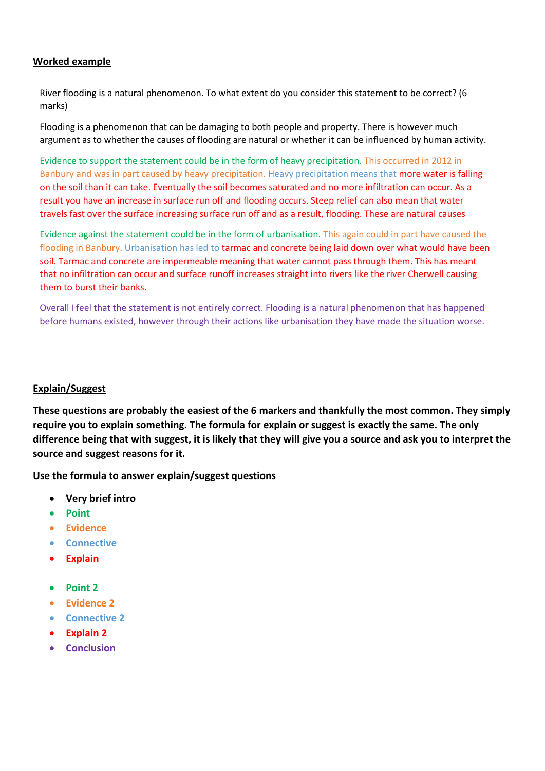# **Worked example**

River flooding is a natural phenomenon. To what extent do you consider this statement to be correct? (6 marks)

Flooding is a phenomenon that can be damaging to both people and property. There is however much argument as to whether the causes of flooding are natural or whether it can be influenced by human activity.

Evidence to support the statement could be in the form of heavy precipitation. This occurred in 2012 in Banbury and was in part caused by heavy precipitation. Heavy precipitation means that more water is falling on the soil than it can take. Eventually the soil becomes saturated and no more infiltration can occur. As a result you have an increase in surface run off and flooding occurs. Steep relief can also mean that water travels fast over the surface increasing surface run off and as a result, flooding. These are natural causes

Evidence against the statement could be in the form of urbanisation. This again could in part have caused the flooding in Banbury. Urbanisation has led to tarmac and concrete being laid down over what would have been soil. Tarmac and concrete are impermeable meaning that water cannot pass through them. This has meant that no infiltration can occur and surface runoff increases straight into rivers like the river Cherwell causing them to burst their banks.

Overall I feel that the statement is not entirely correct. Flooding is a natural phenomenon that has happened before humans existed, however through their actions like urbanisation they have made the situation worse.

#### **Explain/Suggest**

**These questions are probably the easiest of the 6 markers and thankfully the most common. They simply require you to explain something. The formula for explain or suggest is exactly the same. The only difference being that with suggest, it is likely that they will give you a source and ask you to interpret the source and suggest reasons for it.** 

**Use the formula to answer explain/suggest questions**

- **Very brief intro**
- **Point**
- **Evidence**
- **Connective**
- **Explain**
- **Point 2**
- **Evidence 2**
- **Connective 2**
- **Explain 2**
- **Conclusion**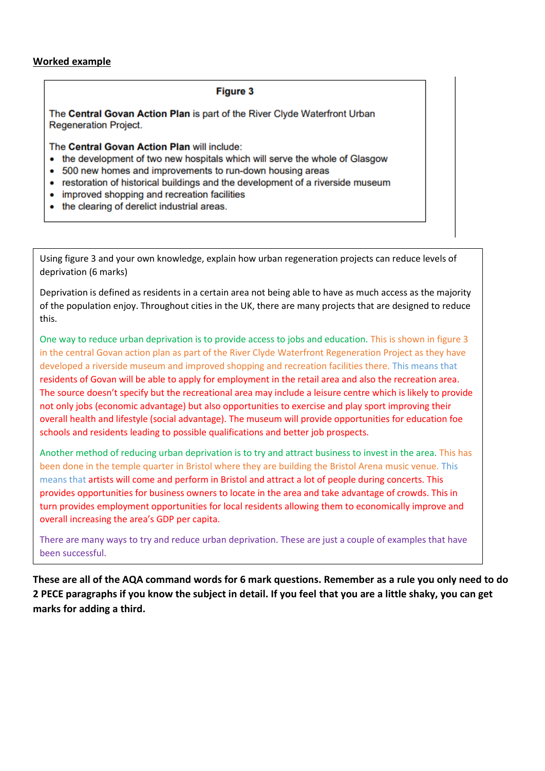# **Worked example**

#### **Figure 3**

The Central Govan Action Plan is part of the River Clyde Waterfront Urban **Regeneration Project.** 

The Central Govan Action Plan will include:

- the development of two new hospitals which will serve the whole of Glasgow
- 500 new homes and improvements to run-down housing areas
- restoration of historical buildings and the development of a riverside museum
- improved shopping and recreation facilities
- the clearing of derelict industrial areas.

Using figure 3 and your own knowledge, explain how urban regeneration projects can reduce levels of deprivation (6 marks)

Deprivation is defined as residents in a certain area not being able to have as much access as the majority of the population enjoy. Throughout cities in the UK, there are many projects that are designed to reduce this.

One way to reduce urban deprivation is to provide access to jobs and education. This is shown in figure 3 in the central Govan action plan as part of the River Clyde Waterfront Regeneration Project as they have developed a riverside museum and improved shopping and recreation facilities there. This means that residents of Govan will be able to apply for employment in the retail area and also the recreation area. The source doesn't specify but the recreational area may include a leisure centre which is likely to provide not only jobs (economic advantage) but also opportunities to exercise and play sport improving their overall health and lifestyle (social advantage). The museum will provide opportunities for education foe schools and residents leading to possible qualifications and better job prospects.

Another method of reducing urban deprivation is to try and attract business to invest in the area. This has been done in the temple quarter in Bristol where they are building the Bristol Arena music venue. This means that artists will come and perform in Bristol and attract a lot of people during concerts. This provides opportunities for business owners to locate in the area and take advantage of crowds. This in turn provides employment opportunities for local residents allowing them to economically improve and overall increasing the area's GDP per capita.

There are many ways to try and reduce urban deprivation. These are just a couple of examples that have been successful.

**These are all of the AQA command words for 6 mark questions. Remember as a rule you only need to do 2 PECE paragraphs if you know the subject in detail. If you feel that you are a little shaky, you can get marks for adding a third.**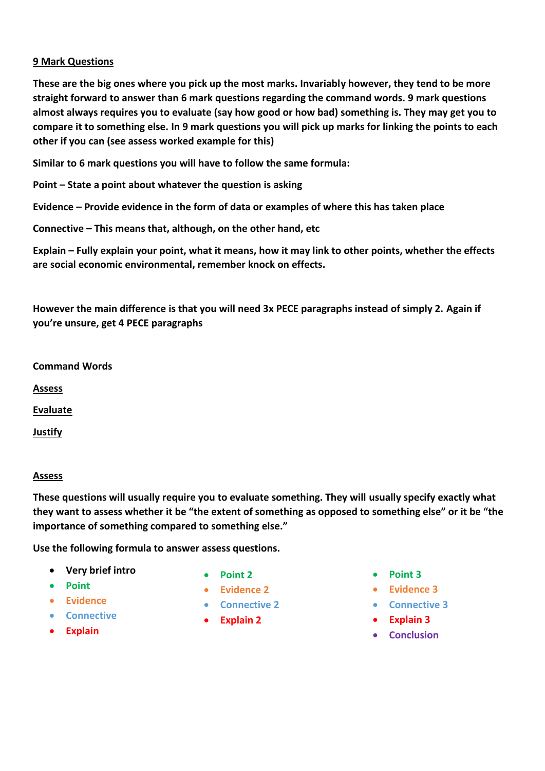# **9 Mark Questions**

**These are the big ones where you pick up the most marks. Invariably however, they tend to be more straight forward to answer than 6 mark questions regarding the command words. 9 mark questions almost always requires you to evaluate (say how good or how bad) something is. They may get you to compare it to something else. In 9 mark questions you will pick up marks for linking the points to each other if you can (see assess worked example for this)**

**Similar to 6 mark questions you will have to follow the same formula:**

**Point – State a point about whatever the question is asking**

**Evidence – Provide evidence in the form of data or examples of where this has taken place** 

**Connective – This means that, although, on the other hand, etc**

**Explain – Fully explain your point, what it means, how it may link to other points, whether the effects are social economic environmental, remember knock on effects.**

**However the main difference is that you will need 3x PECE paragraphs instead of simply 2. Again if you're unsure, get 4 PECE paragraphs**

**Command Words**

**Assess**

**Evaluate**

**Justify**

#### **Assess**

**These questions will usually require you to evaluate something. They will usually specify exactly what they want to assess whether it be "the extent of something as opposed to something else" or it be "the importance of something compared to something else."**

**Use the following formula to answer assess questions.**

- **Very brief intro**
- **Point**
- **Evidence**
- **Connective**
- **Explain**
- **Point 2**
- **Evidence 2**
- **Connective 2**
- **Explain 2**
- **Point 3**
- **Evidence 3**
- **Connective 3**
- **Explain 3**
- **•** Conclusion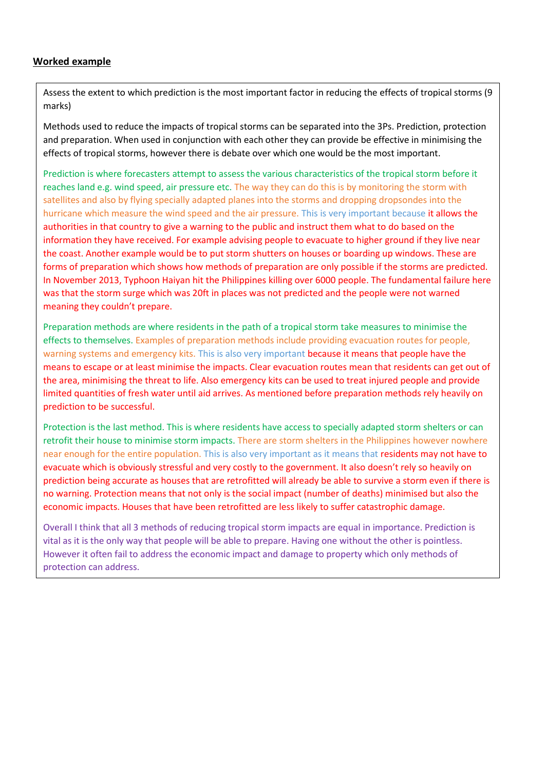# **Worked example**

Assess the extent to which prediction is the most important factor in reducing the effects of tropical storms (9 marks)

Methods used to reduce the impacts of tropical storms can be separated into the 3Ps. Prediction, protection and preparation. When used in conjunction with each other they can provide be effective in minimising the effects of tropical storms, however there is debate over which one would be the most important.

Prediction is where forecasters attempt to assess the various characteristics of the tropical storm before it reaches land e.g. wind speed, air pressure etc. The way they can do this is by monitoring the storm with satellites and also by flying specially adapted planes into the storms and dropping dropsondes into the hurricane which measure the wind speed and the air pressure. This is very important because it allows the authorities in that country to give a warning to the public and instruct them what to do based on the information they have received. For example advising people to evacuate to higher ground if they live near the coast. Another example would be to put storm shutters on houses or boarding up windows. These are forms of preparation which shows how methods of preparation are only possible if the storms are predicted. In November 2013, Typhoon Haiyan hit the Philippines killing over 6000 people. The fundamental failure here was that the storm surge which was 20ft in places was not predicted and the people were not warned meaning they couldn't prepare.

Preparation methods are where residents in the path of a tropical storm take measures to minimise the effects to themselves. Examples of preparation methods include providing evacuation routes for people, warning systems and emergency kits. This is also very important because it means that people have the means to escape or at least minimise the impacts. Clear evacuation routes mean that residents can get out of the area, minimising the threat to life. Also emergency kits can be used to treat injured people and provide limited quantities of fresh water until aid arrives. As mentioned before preparation methods rely heavily on prediction to be successful.

Protection is the last method. This is where residents have access to specially adapted storm shelters or can retrofit their house to minimise storm impacts. There are storm shelters in the Philippines however nowhere near enough for the entire population. This is also very important as it means that residents may not have to evacuate which is obviously stressful and very costly to the government. It also doesn't rely so heavily on prediction being accurate as houses that are retrofitted will already be able to survive a storm even if there is no warning. Protection means that not only is the social impact (number of deaths) minimised but also the economic impacts. Houses that have been retrofitted are less likely to suffer catastrophic damage.

Overall I think that all 3 methods of reducing tropical storm impacts are equal in importance. Prediction is vital as it is the only way that people will be able to prepare. Having one without the other is pointless. However it often fail to address the economic impact and damage to property which only methods of protection can address.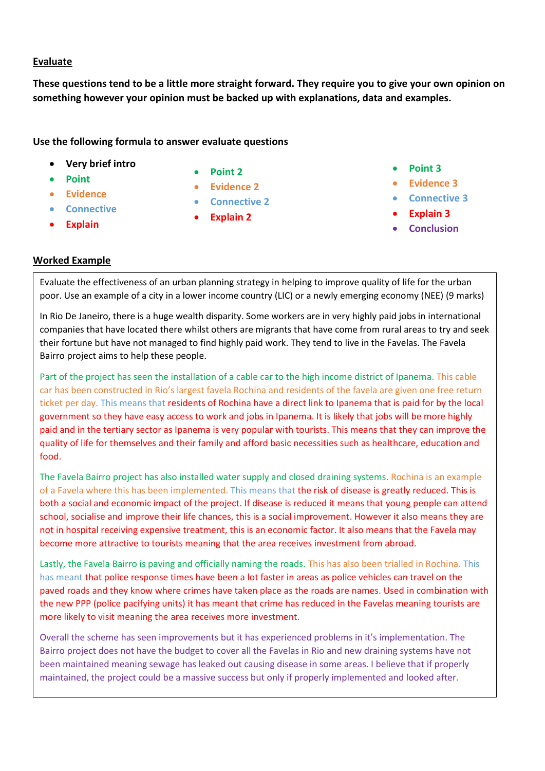## **Evaluate**

**These questions tend to be a little more straight forward. They require you to give your own opinion on something however your opinion must be backed up with explanations, data and examples.** 

## **Use the following formula to answer evaluate questions**

- **Very brief intro**
- **Point**
- **Evidence**
- **Connective**
- **Explain**
- **Point 2**
- **Evidence 2**
- **Connective 2**
- **Explain 2**
- **Point 3**
- **Evidence 3**
- **Connective 3**
- **Explain 3**
- **Conclusion**

# **Worked Example**

Evaluate the effectiveness of an urban planning strategy in helping to improve quality of life for the urban poor. Use an example of a city in a lower income country (LIC) or a newly emerging economy (NEE) (9 marks)

In Rio De Janeiro, there is a huge wealth disparity. Some workers are in very highly paid jobs in international companies that have located there whilst others are migrants that have come from rural areas to try and seek their fortune but have not managed to find highly paid work. They tend to live in the Favelas. The Favela Bairro project aims to help these people.

Part of the project has seen the installation of a cable car to the high income district of Ipanema. This cable car has been constructed in Rio's largest favela Rochina and residents of the favela are given one free return ticket per day. This means that residents of Rochina have a direct link to Ipanema that is paid for by the local government so they have easy access to work and jobs in Ipanema. It is likely that jobs will be more highly paid and in the tertiary sector as Ipanema is very popular with tourists. This means that they can improve the quality of life for themselves and their family and afford basic necessities such as healthcare, education and food.

The Favela Bairro project has also installed water supply and closed draining systems. Rochina is an example of a Favela where this has been implemented. This means that the risk of disease is greatly reduced. This is both a social and economic impact of the project. If disease is reduced it means that young people can attend school, socialise and improve their life chances, this is a social improvement. However it also means they are not in hospital receiving expensive treatment, this is an economic factor. It also means that the Favela may become more attractive to tourists meaning that the area receives investment from abroad.

Lastly, the Favela Bairro is paving and officially naming the roads. This has also been trialled in Rochina. This has meant that police response times have been a lot faster in areas as police vehicles can travel on the paved roads and they know where crimes have taken place as the roads are names. Used in combination with the new PPP (police pacifying units) it has meant that crime has reduced in the Favelas meaning tourists are more likely to visit meaning the area receives more investment.

Overall the scheme has seen improvements but it has experienced problems in it's implementation. The Bairro project does not have the budget to cover all the Favelas in Rio and new draining systems have not been maintained meaning sewage has leaked out causing disease in some areas. I believe that if properly maintained, the project could be a massive success but only if properly implemented and looked after.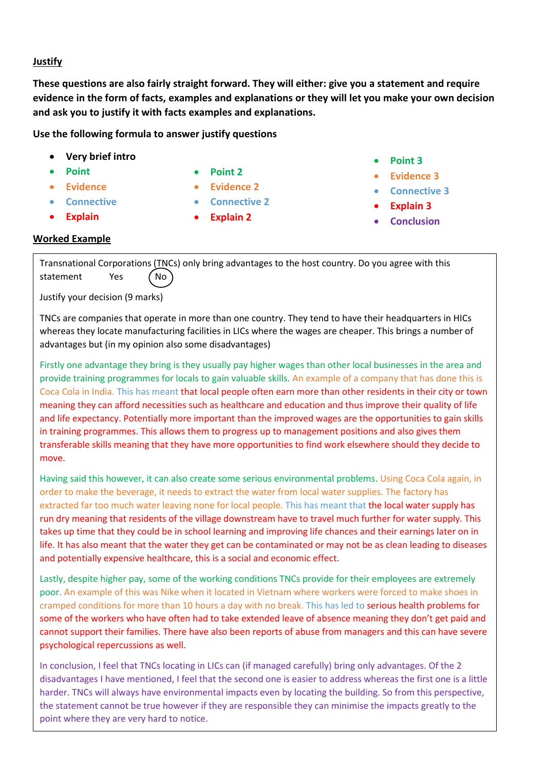#### **Justify**

**These questions are also fairly straight forward. They will either: give you a statement and require evidence in the form of facts, examples and explanations or they will let you make your own decision and ask you to justify it with facts examples and explanations.** 

#### **Use the following formula to answer justify questions**

- **Very brief intro**
- **Point**
- **Evidence**
- **Connective**
- **Explain**
- **Point 2**
- **Evidence 2**
- **Connective 2**
- **Explain 2**
- **Point 3**
- **Evidence 3**
- **Connective 3**
- **Explain 3**
- **Conclusion**

#### **Worked Example**

Transnational Corporations (TNCs) only bring advantages to the host country. Do you agree with this statement Yes (No

Justify your decision (9 marks)

TNCs are companies that operate in more than one country. They tend to have their headquarters in HICs whereas they locate manufacturing facilities in LICs where the wages are cheaper. This brings a number of advantages but (in my opinion also some disadvantages)

Firstly one advantage they bring is they usually pay higher wages than other local businesses in the area and provide training programmes for locals to gain valuable skills. An example of a company that has done this is Coca Cola in India. This has meant that local people often earn more than other residents in their city or town meaning they can afford necessities such as healthcare and education and thus improve their quality of life and life expectancy. Potentially more important than the improved wages are the opportunities to gain skills in training programmes. This allows them to progress up to management positions and also gives them transferable skills meaning that they have more opportunities to find work elsewhere should they decide to move.

Having said this however, it can also create some serious environmental problems. Using Coca Cola again, in order to make the beverage, it needs to extract the water from local water supplies. The factory has extracted far too much water leaving none for local people. This has meant that the local water supply has run dry meaning that residents of the village downstream have to travel much further for water supply. This takes up time that they could be in school learning and improving life chances and their earnings later on in life. It has also meant that the water they get can be contaminated or may not be as clean leading to diseases and potentially expensive healthcare, this is a social and economic effect.

Lastly, despite higher pay, some of the working conditions TNCs provide for their employees are extremely poor. An example of this was Nike when it located in Vietnam where workers were forced to make shoes in cramped conditions for more than 10 hours a day with no break. This has led to serious health problems for some of the workers who have often had to take extended leave of absence meaning they don't get paid and cannot support their families. There have also been reports of abuse from managers and this can have severe psychological repercussions as well.

In conclusion, I feel that TNCs locating in LICs can (if managed carefully) bring only advantages. Of the 2 disadvantages I have mentioned, I feel that the second one is easier to address whereas the first one is a little harder. TNCs will always have environmental impacts even by locating the building. So from this perspective, the statement cannot be true however if they are responsible they can minimise the impacts greatly to the point where they are very hard to notice.